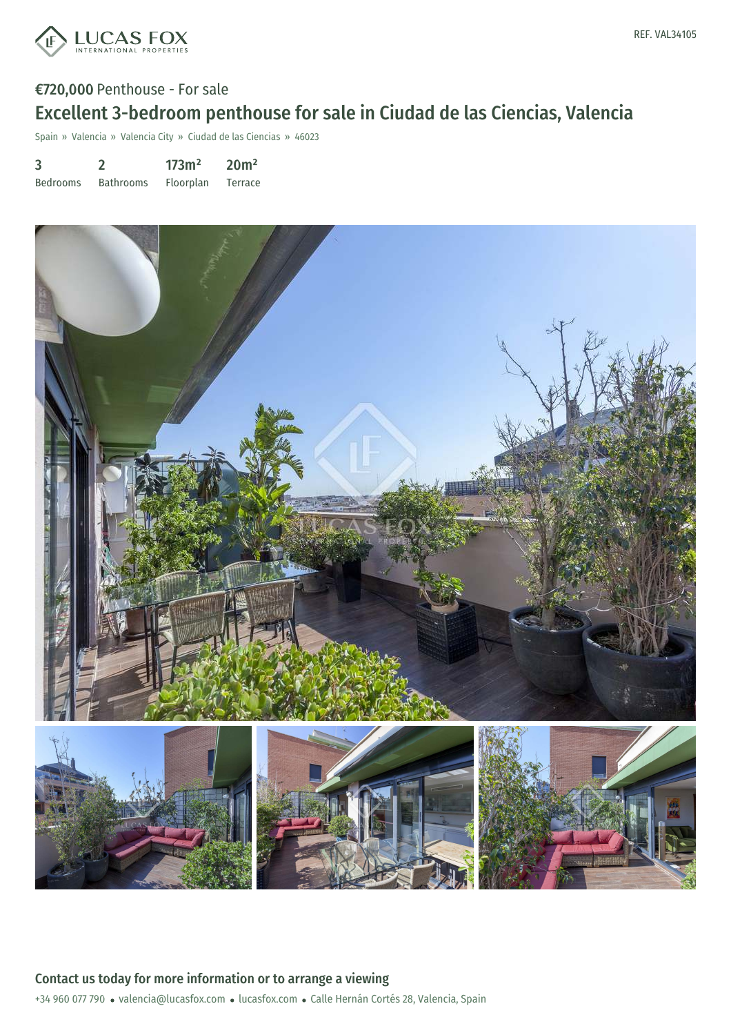

# €720,000 Penthouse - For sale Excellent 3-bedroom penthouse for sale in Ciudad de las Ciencias, Valencia

Spain » Valencia » Valencia City » Ciudad de las Ciencias » 46023

| 3               |                  | 173m <sup>2</sup> | 20 <sup>m²</sup> |
|-----------------|------------------|-------------------|------------------|
| <b>Bedrooms</b> | <b>Bathrooms</b> | Floorplan         | Terrace          |

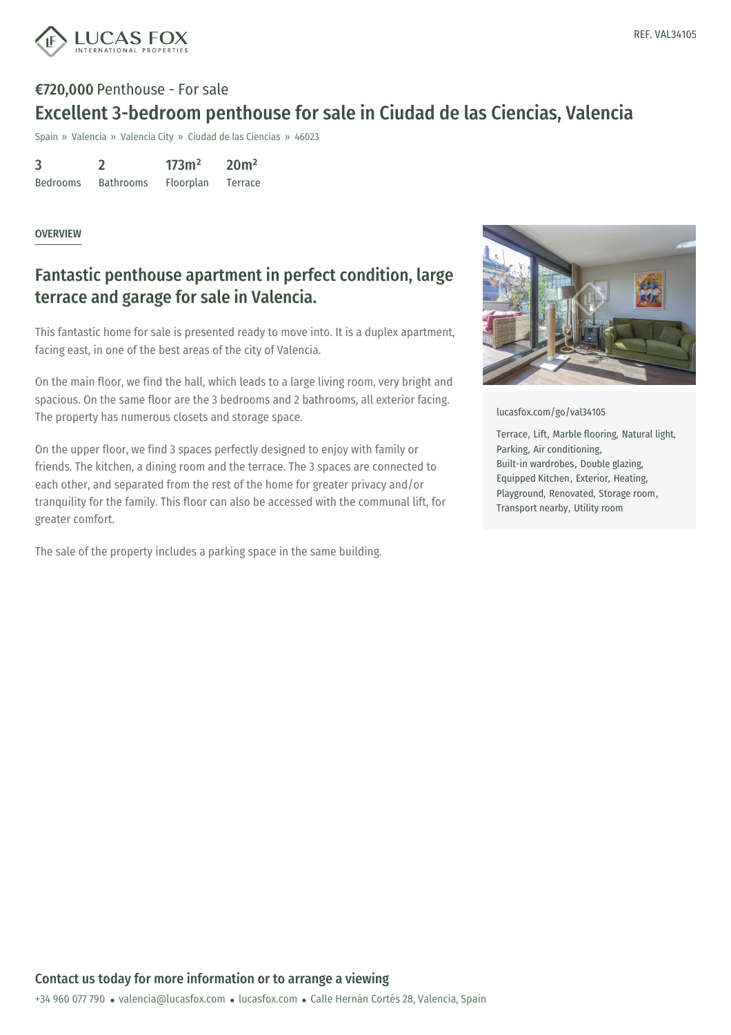

# €720,000 Penthouse - For sale Excellent 3-bedroom penthouse for sale in Ciudad de las Ciencias, Valencia

Spain » Valencia » Valencia City » Ciudad de las Ciencias » 46023

3 Bedrooms 2 Bathrooms  $173m<sup>2</sup>$ Floorplan 20m² Terrace

#### **OVERVIEW**

### Fantastic penthouse apartment in perfect condition, large terrace and garage for sale in Valencia.

This fantastic home for sale is presented ready to move into. It is a duplex apartment, facing east, in one of the best areas of the city of Valencia.

On the main floor, we find the hall, which leads to a large living room, very bright and spacious. On the same floor are the 3 bedrooms and 2 bathrooms, all exterior facing. The property has numerous closets and storage space.

On the upper floor, we find 3 spaces perfectly designed to enjoy with family or friends. The kitchen, a dining room and the terrace. The 3 spaces are connected to each other, and separated from the rest of the home for greater privacy and/or tranquility for the family. This floor can also be accessed with the communal lift, for greater comfort.

The sale of the property includes a parking space in the same building.



[lucasfox.com/go/val34105](https://www.lucasfox.com/go/val34105)

Terrace, Lift, Marble flooring, Natural light, Parking, Air conditioning, Built-in wardrobes, Double glazing, Equipped Kitchen, Exterior, Heating, Playground, Renovated, Storage room, Transport nearby, Utility room